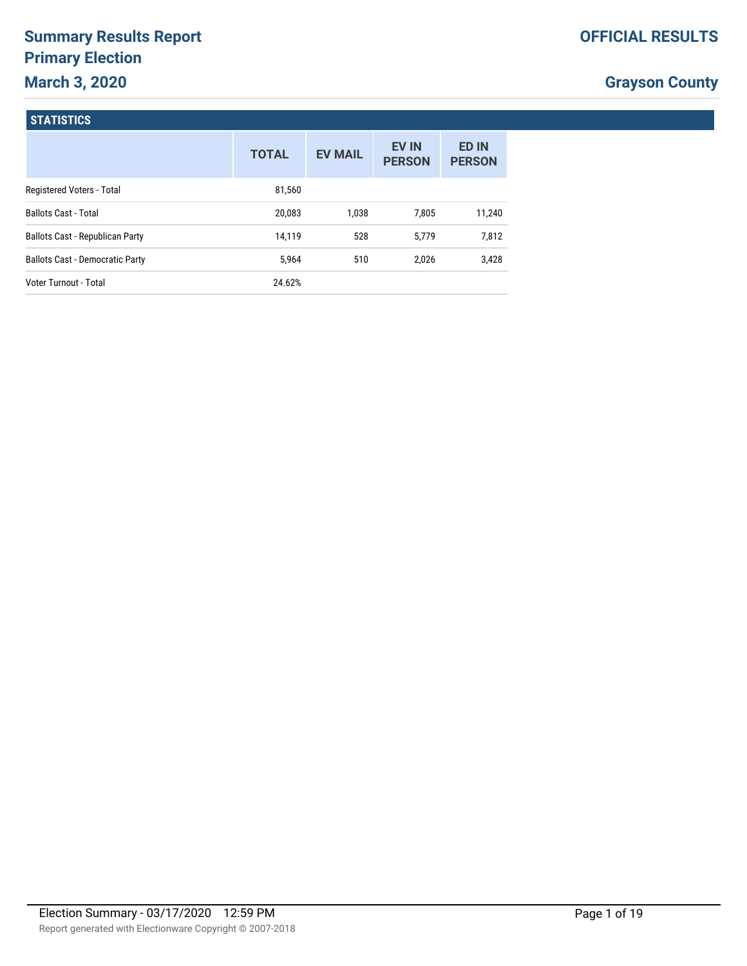# **Summary Results Report Primary Election March 3, 2020**

# **Grayson County**

#### **STATISTICS**

|                                        | <b>TOTAL</b> | <b>EV MAIL</b> | <b>EV IN</b><br><b>PERSON</b> | <b>ED IN</b><br><b>PERSON</b> |
|----------------------------------------|--------------|----------------|-------------------------------|-------------------------------|
| Registered Voters - Total              | 81,560       |                |                               |                               |
| <b>Ballots Cast - Total</b>            | 20,083       | 1.038          | 7,805                         | 11,240                        |
| <b>Ballots Cast - Republican Party</b> | 14,119       | 528            | 5,779                         | 7,812                         |
| <b>Ballots Cast - Democratic Party</b> | 5.964        | 510            | 2,026                         | 3,428                         |
| Voter Turnout - Total                  | 24.62%       |                |                               |                               |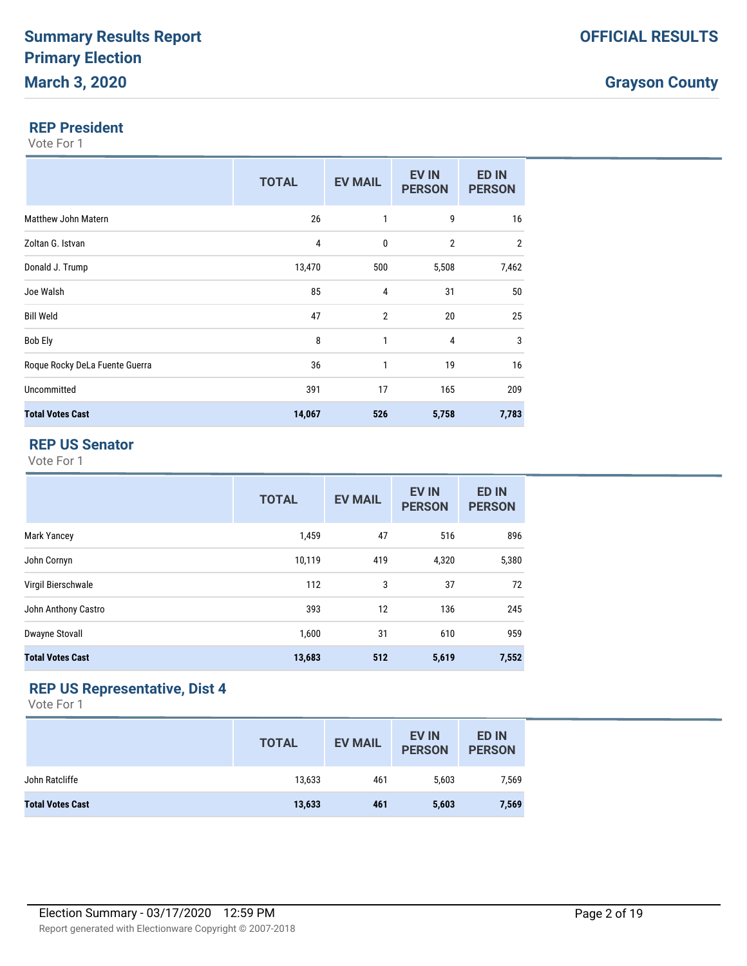### **Grayson County**

#### **REP President**

Vote For 1

|                                | <b>TOTAL</b> | <b>EV MAIL</b> | <b>EV IN</b><br><b>PERSON</b> | <b>ED IN</b><br><b>PERSON</b> |
|--------------------------------|--------------|----------------|-------------------------------|-------------------------------|
| Matthew John Matern            | 26           | 1              | 9                             | 16                            |
| Zoltan G. Istvan               | 4            | $\mathbf{0}$   | $\overline{2}$                | $\overline{2}$                |
| Donald J. Trump                | 13,470       | 500            | 5,508                         | 7,462                         |
| Joe Walsh                      | 85           | 4              | 31                            | 50                            |
| <b>Bill Weld</b>               | 47           | $\overline{2}$ | 20                            | 25                            |
| <b>Bob Ely</b>                 | 8            | 1              | 4                             | 3                             |
| Roque Rocky DeLa Fuente Guerra | 36           | $\mathbf{1}$   | 19                            | 16                            |
| Uncommitted                    | 391          | 17             | 165                           | 209                           |
| <b>Total Votes Cast</b>        | 14,067       | 526            | 5,758                         | 7,783                         |

# **REP US Senator**

Vote For 1

|                         | <b>TOTAL</b> | <b>EV MAIL</b> | <b>EV IN</b><br><b>PERSON</b> | <b>ED IN</b><br><b>PERSON</b> |
|-------------------------|--------------|----------------|-------------------------------|-------------------------------|
| <b>Mark Yancey</b>      | 1,459        | 47             | 516                           | 896                           |
| John Cornyn             | 10,119       | 419            | 4,320                         | 5,380                         |
| Virgil Bierschwale      | 112          | 3              | 37                            | 72                            |
| John Anthony Castro     | 393          | 12             | 136                           | 245                           |
| <b>Dwayne Stovall</b>   | 1,600        | 31             | 610                           | 959                           |
| <b>Total Votes Cast</b> | 13,683       | 512            | 5,619                         | 7,552                         |

# **REP US Representative, Dist 4**

|                         | <b>TOTAL</b> | <b>EV MAIL</b> | <b>EV IN</b><br><b>PERSON</b> | <b>ED IN</b><br><b>PERSON</b> |
|-------------------------|--------------|----------------|-------------------------------|-------------------------------|
| John Ratcliffe          | 13,633       | 461            | 5,603                         | 7,569                         |
| <b>Total Votes Cast</b> | 13,633       | 461            | 5,603                         | 7,569                         |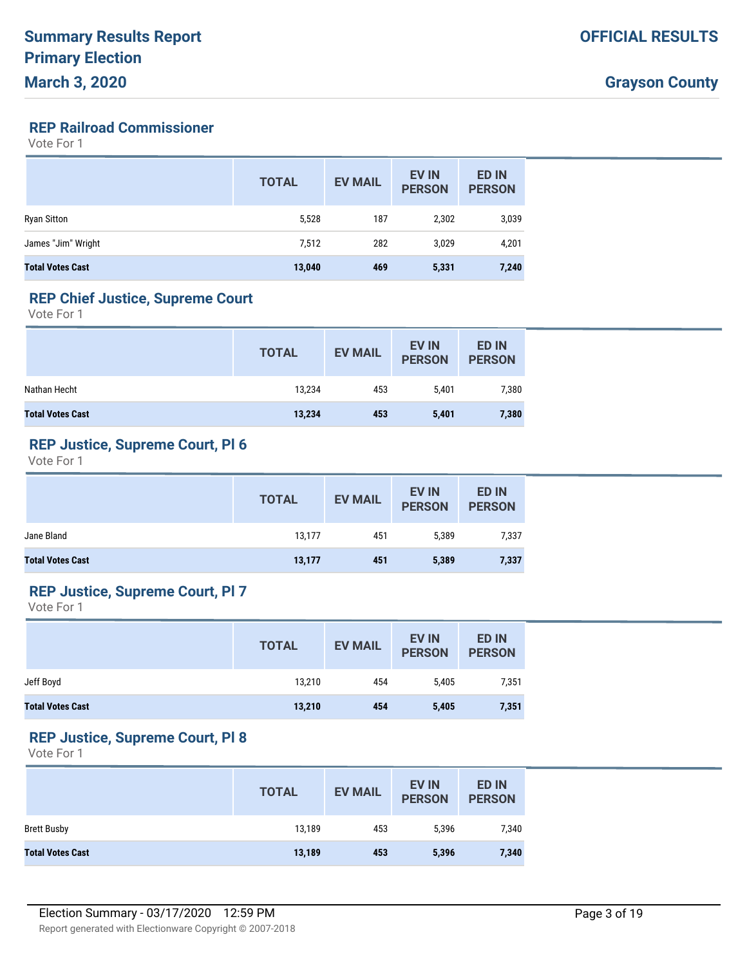# **REP Railroad Commissioner**

Vote For 1

|                         | <b>TOTAL</b> | <b>EV MAIL</b> | <b>EV IN</b><br><b>PERSON</b> | <b>ED IN</b><br><b>PERSON</b> |
|-------------------------|--------------|----------------|-------------------------------|-------------------------------|
| <b>Ryan Sitton</b>      | 5,528        | 187            | 2,302                         | 3,039                         |
| James "Jim" Wright      | 7,512        | 282            | 3,029                         | 4,201                         |
| <b>Total Votes Cast</b> | 13,040       | 469            | 5,331                         | 7,240                         |

#### **REP Chief Justice, Supreme Court**

Vote For 1

|                         | <b>TOTAL</b> | <b>EV MAIL</b> | <b>EV IN</b><br><b>PERSON</b> | <b>ED IN</b><br><b>PERSON</b> |
|-------------------------|--------------|----------------|-------------------------------|-------------------------------|
| Nathan Hecht            | 13,234       | 453            | 5.401                         | 7,380                         |
| <b>Total Votes Cast</b> | 13,234       | 453            | 5,401                         | 7,380                         |

#### **REP Justice, Supreme Court, Pl 6**

Vote For 1

|                         | <b>TOTAL</b> | <b>EV MAIL</b> | <b>EV IN</b><br><b>PERSON</b> | <b>ED IN</b><br><b>PERSON</b> |
|-------------------------|--------------|----------------|-------------------------------|-------------------------------|
| Jane Bland              | 13,177       | 451            | 5,389                         | 7,337                         |
| <b>Total Votes Cast</b> | 13,177       | 451            | 5,389                         | 7,337                         |

# **REP Justice, Supreme Court, Pl 7**

Vote For 1

|                         | <b>TOTAL</b> | <b>EV MAIL</b> | <b>EV IN</b><br><b>PERSON</b> | <b>ED IN</b><br><b>PERSON</b> |
|-------------------------|--------------|----------------|-------------------------------|-------------------------------|
| Jeff Boyd               | 13,210       | 454            | 5,405                         | 7,351                         |
| <b>Total Votes Cast</b> | 13,210       | 454            | 5,405                         | 7,351                         |

#### **REP Justice, Supreme Court, Pl 8**

|                         | <b>TOTAL</b> | <b>EV MAIL</b> | <b>EV IN</b><br><b>PERSON</b> | <b>ED IN</b><br><b>PERSON</b> |
|-------------------------|--------------|----------------|-------------------------------|-------------------------------|
| <b>Brett Busby</b>      | 13,189       | 453            | 5,396                         | 7,340                         |
| <b>Total Votes Cast</b> | 13,189       | 453            | 5,396                         | 7,340                         |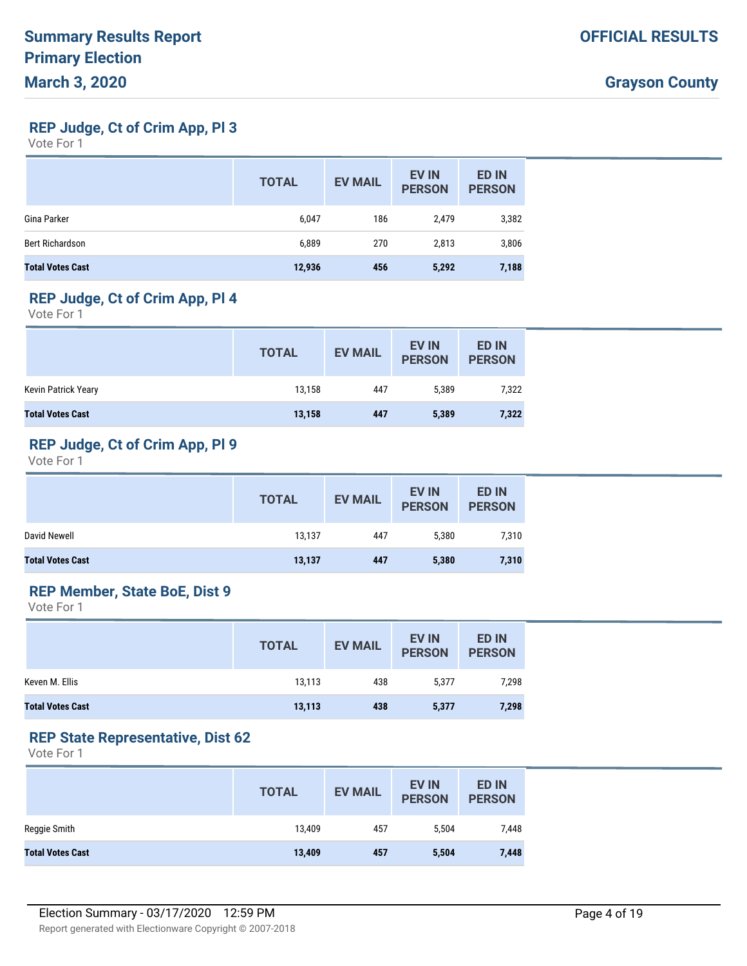**REP Judge, Ct of Crim App, Pl 3**

Vote For 1

|                         | <b>TOTAL</b> | <b>EV MAIL</b> | <b>EV IN</b><br><b>PERSON</b> | <b>ED IN</b><br><b>PERSON</b> |
|-------------------------|--------------|----------------|-------------------------------|-------------------------------|
| Gina Parker             | 6,047        | 186            | 2,479                         | 3,382                         |
| Bert Richardson         | 6,889        | 270            | 2,813                         | 3,806                         |
| <b>Total Votes Cast</b> | 12,936       | 456            | 5,292                         | 7,188                         |

### **REP Judge, Ct of Crim App, Pl 4**

Vote For 1

|                         | <b>TOTAL</b> | <b>EV MAIL</b> | <b>EV IN</b><br><b>PERSON</b> | <b>ED IN</b><br><b>PERSON</b> |
|-------------------------|--------------|----------------|-------------------------------|-------------------------------|
| Kevin Patrick Yeary     | 13.158       | 447            | 5.389                         | 7,322                         |
| <b>Total Votes Cast</b> | 13,158       | 447            | 5,389                         | 7,322                         |

# **REP Judge, Ct of Crim App, Pl 9**

Vote For 1

|                         | <b>TOTAL</b> | <b>EV MAIL</b> | <b>EV IN</b><br><b>PERSON</b> | <b>ED IN</b><br><b>PERSON</b> |
|-------------------------|--------------|----------------|-------------------------------|-------------------------------|
| David Newell            | 13,137       | 447            | 5.380                         | 7,310                         |
| <b>Total Votes Cast</b> | 13,137       | 447            | 5,380                         | 7,310                         |

### **REP Member, State BoE, Dist 9**

Vote For 1

|                         | <b>TOTAL</b> | <b>EV MAIL</b> | <b>EV IN</b><br><b>PERSON</b> | <b>ED IN</b><br><b>PERSON</b> |
|-------------------------|--------------|----------------|-------------------------------|-------------------------------|
| Keven M. Ellis          | 13.113       | 438            | 5.377                         | 7.298                         |
| <b>Total Votes Cast</b> | 13,113       | 438            | 5,377                         | 7,298                         |

#### **REP State Representative, Dist 62**

|                         | <b>TOTAL</b> | <b>EV MAIL</b> | <b>EV IN</b><br><b>PERSON</b> | <b>ED IN</b><br><b>PERSON</b> |
|-------------------------|--------------|----------------|-------------------------------|-------------------------------|
| Reggie Smith            | 13.409       | 457            | 5,504                         | 7,448                         |
| <b>Total Votes Cast</b> | 13,409       | 457            | 5,504                         | 7,448                         |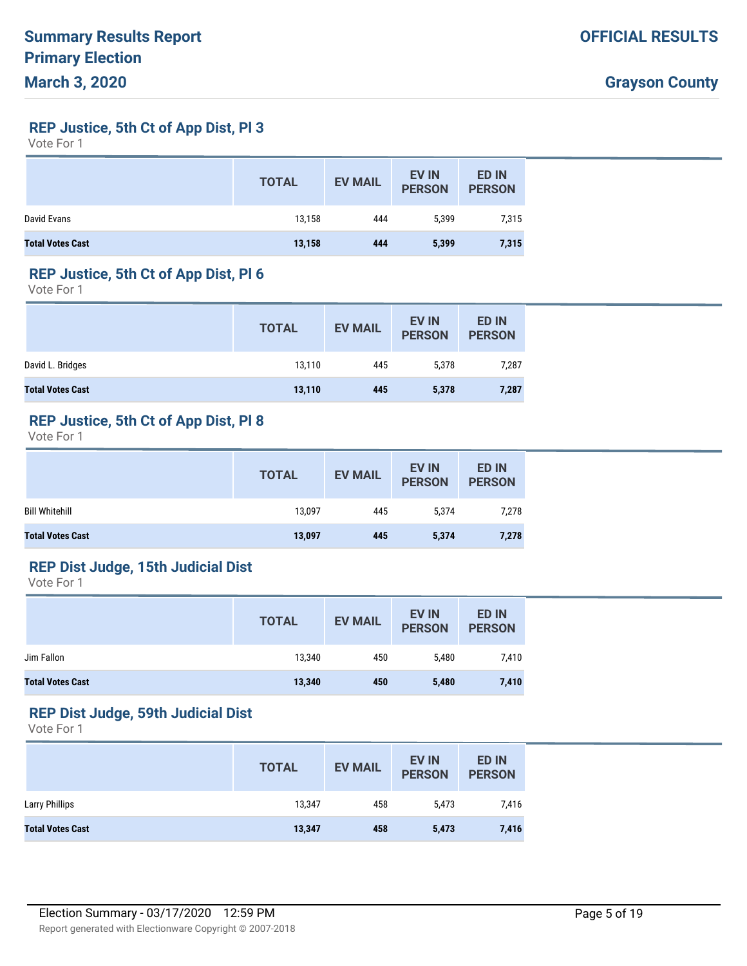**REP Justice, 5th Ct of App Dist, Pl 3**

Vote For 1

|                         | <b>TOTAL</b> | <b>EV MAIL</b> | <b>EV IN</b><br><b>PERSON</b> | <b>ED IN</b><br><b>PERSON</b> |
|-------------------------|--------------|----------------|-------------------------------|-------------------------------|
| David Evans             | 13.158       | 444            | 5,399                         | 7,315                         |
| <b>Total Votes Cast</b> | 13,158       | 444            | 5,399                         | 7,315                         |

#### **REP Justice, 5th Ct of App Dist, Pl 6**

Vote For 1

|                         | <b>TOTAL</b> | <b>EV MAIL</b> | <b>EV IN</b><br><b>PERSON</b> | <b>ED IN</b><br><b>PERSON</b> |
|-------------------------|--------------|----------------|-------------------------------|-------------------------------|
| David L. Bridges        | 13,110       | 445            | 5,378                         | 7,287                         |
| <b>Total Votes Cast</b> | 13,110       | 445            | 5,378                         | 7,287                         |

### **REP Justice, 5th Ct of App Dist, Pl 8**

Vote For 1

|                         | <b>TOTAL</b> | <b>EV MAIL</b> | <b>EV IN</b><br><b>PERSON</b> | <b>ED IN</b><br><b>PERSON</b> |
|-------------------------|--------------|----------------|-------------------------------|-------------------------------|
| <b>Bill Whitehill</b>   | 13,097       | 445            | 5,374                         | 7,278                         |
| <b>Total Votes Cast</b> | 13,097       | 445            | 5,374                         | 7,278                         |

# **REP Dist Judge, 15th Judicial Dist**

Vote For 1

|                         | <b>TOTAL</b> | <b>EV MAIL</b> | <b>EV IN</b><br><b>PERSON</b> | <b>ED IN</b><br><b>PERSON</b> |
|-------------------------|--------------|----------------|-------------------------------|-------------------------------|
| Jim Fallon              | 13,340       | 450            | 5.480                         | 7,410                         |
| <b>Total Votes Cast</b> | 13,340       | 450            | 5,480                         | 7,410                         |

# **REP Dist Judge, 59th Judicial Dist**

|                         | <b>TOTAL</b> | <b>EV MAIL</b> | <b>EV IN</b><br><b>PERSON</b> | <b>ED IN</b><br><b>PERSON</b> |
|-------------------------|--------------|----------------|-------------------------------|-------------------------------|
| Larry Phillips          | 13,347       | 458            | 5,473                         | 7,416                         |
| <b>Total Votes Cast</b> | 13,347       | 458            | 5,473                         | 7,416                         |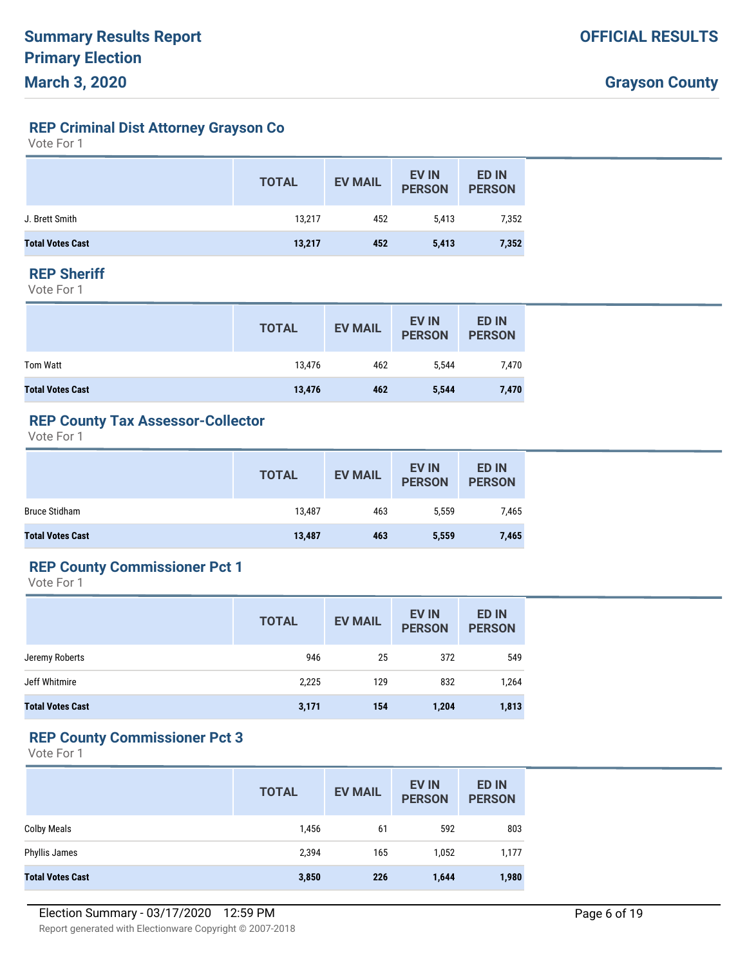**REP Criminal Dist Attorney Grayson Co**

Vote For 1

|                         | <b>TOTAL</b> | <b>EV MAIL</b> | <b>EV IN</b><br><b>PERSON</b> | <b>ED IN</b><br><b>PERSON</b> |
|-------------------------|--------------|----------------|-------------------------------|-------------------------------|
| J. Brett Smith          | 13.217       | 452            | 5.413                         | 7,352                         |
| <b>Total Votes Cast</b> | 13,217       | 452            | 5,413                         | 7,352                         |

#### **REP Sheriff**

Vote For 1

|                         | <b>TOTAL</b> | <b>EV MAIL</b> | <b>EV IN</b><br><b>PERSON</b> | <b>ED IN</b><br><b>PERSON</b> |
|-------------------------|--------------|----------------|-------------------------------|-------------------------------|
| Tom Watt                | 13.476       | 462            | 5.544                         | 7,470                         |
| <b>Total Votes Cast</b> | 13,476       | 462            | 5,544                         | 7,470                         |

#### **REP County Tax Assessor-Collector**

Vote For 1

|                         | <b>TOTAL</b> | <b>EV MAIL</b> | <b>EV IN</b><br><b>PERSON</b> | <b>ED IN</b><br><b>PERSON</b> |
|-------------------------|--------------|----------------|-------------------------------|-------------------------------|
| Bruce Stidham           | 13,487       | 463            | 5,559                         | 7,465                         |
| <b>Total Votes Cast</b> | 13,487       | 463            | 5,559                         | 7,465                         |

# **REP County Commissioner Pct 1**

Vote For 1

|                         | <b>TOTAL</b> | <b>EV MAIL</b> | <b>EV IN</b><br><b>PERSON</b> | <b>ED IN</b><br><b>PERSON</b> |
|-------------------------|--------------|----------------|-------------------------------|-------------------------------|
| Jeremy Roberts          | 946          | 25             | 372                           | 549                           |
| Jeff Whitmire           | 2,225        | 129            | 832                           | 1,264                         |
| <b>Total Votes Cast</b> | 3,171        | 154            | 1,204                         | 1,813                         |

#### **REP County Commissioner Pct 3**

|                         | <b>TOTAL</b> | <b>EV MAIL</b> | <b>EV IN</b><br><b>PERSON</b> | <b>ED IN</b><br><b>PERSON</b> |
|-------------------------|--------------|----------------|-------------------------------|-------------------------------|
| <b>Colby Meals</b>      | 1,456        | 61             | 592                           | 803                           |
| Phyllis James           | 2,394        | 165            | 1,052                         | 1,177                         |
| <b>Total Votes Cast</b> | 3,850        | 226            | 1,644                         | 1,980                         |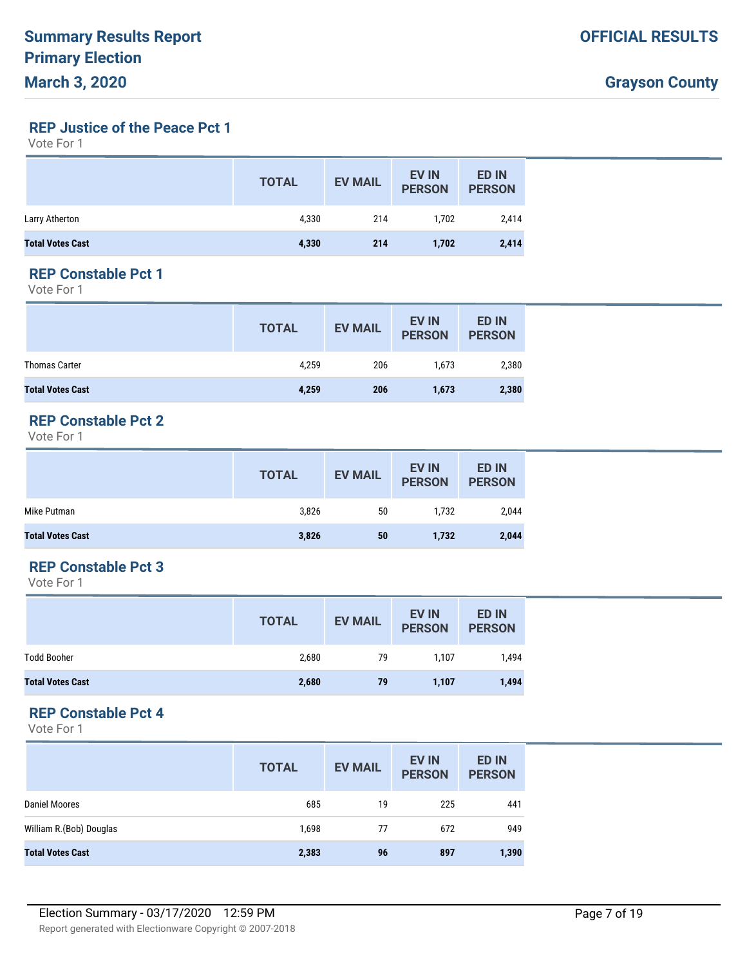**REP Justice of the Peace Pct 1**

Vote For 1

|                         | <b>TOTAL</b> | <b>EV MAIL</b> | <b>EV IN</b><br><b>PERSON</b> | <b>ED IN</b><br><b>PERSON</b> |
|-------------------------|--------------|----------------|-------------------------------|-------------------------------|
| Larry Atherton          | 4,330        | 214            | 1,702                         | 2,414                         |
| <b>Total Votes Cast</b> | 4,330        | 214            | 1,702                         | 2,414                         |

### **REP Constable Pct 1**

Vote For 1

|                         | <b>TOTAL</b> | <b>EV MAIL</b> | <b>EV IN</b><br><b>PERSON</b> | <b>ED IN</b><br><b>PERSON</b> |
|-------------------------|--------------|----------------|-------------------------------|-------------------------------|
| <b>Thomas Carter</b>    | 4,259        | 206            | 1.673                         | 2,380                         |
| <b>Total Votes Cast</b> | 4,259        | 206            | 1,673                         | 2,380                         |

### **REP Constable Pct 2**

Vote For 1

|                         | <b>TOTAL</b> | <b>EV MAIL</b> | <b>EV IN</b><br><b>PERSON</b> | <b>ED IN</b><br><b>PERSON</b> |
|-------------------------|--------------|----------------|-------------------------------|-------------------------------|
| Mike Putman             | 3,826        | 50             | 1.732                         | 2,044                         |
| <b>Total Votes Cast</b> | 3,826        | 50             | 1,732                         | 2,044                         |

# **REP Constable Pct 3**

Vote For 1

|                         | <b>TOTAL</b> | <b>EV MAIL</b> | <b>EV IN</b><br><b>PERSON</b> | <b>ED IN</b><br><b>PERSON</b> |
|-------------------------|--------------|----------------|-------------------------------|-------------------------------|
| <b>Todd Booher</b>      | 2,680        | 79             | 1,107                         | 1,494                         |
| <b>Total Votes Cast</b> | 2,680        | 79             | 1,107                         | 1,494                         |

# **REP Constable Pct 4**

|                         | <b>TOTAL</b> | <b>EV MAIL</b> | <b>EV IN</b><br><b>PERSON</b> | <b>ED IN</b><br><b>PERSON</b> |
|-------------------------|--------------|----------------|-------------------------------|-------------------------------|
| Daniel Moores           | 685          | 19             | 225                           | 441                           |
| William R.(Bob) Douglas | 1,698        | 77             | 672                           | 949                           |
| <b>Total Votes Cast</b> | 2,383        | 96             | 897                           | 1,390                         |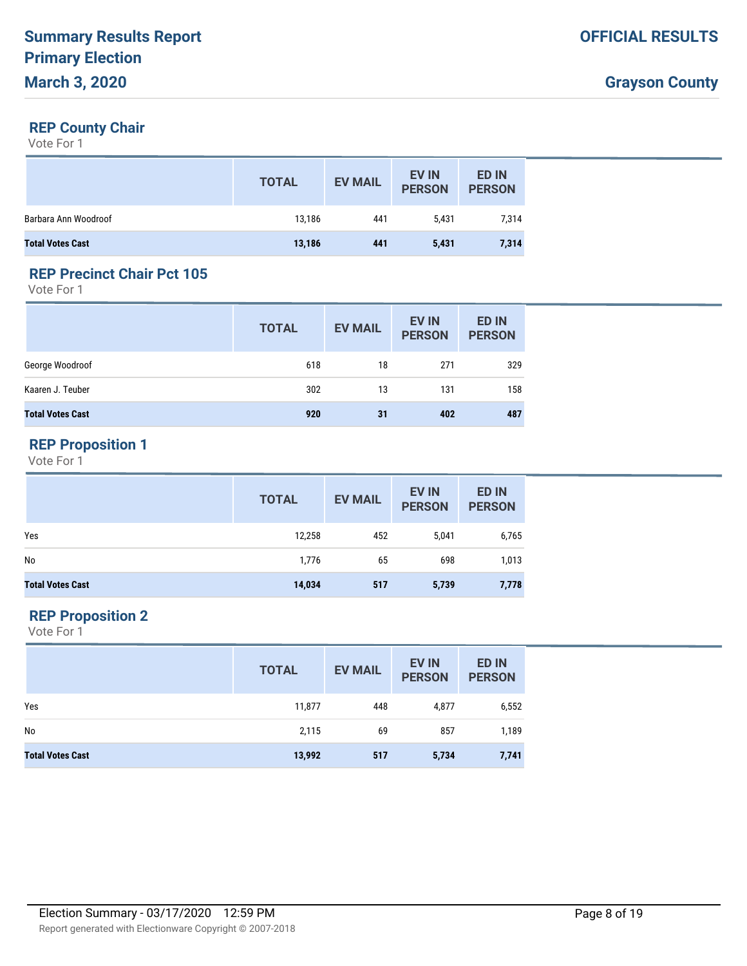#### **REP County Chair**

Vote For 1

|                         | <b>TOTAL</b> | <b>EV MAIL</b> | <b>EV IN</b><br><b>PERSON</b> | <b>ED IN</b><br><b>PERSON</b> |
|-------------------------|--------------|----------------|-------------------------------|-------------------------------|
| Barbara Ann Woodroof    | 13,186       | 441            | 5.431                         | 7,314                         |
| <b>Total Votes Cast</b> | 13,186       | 441            | 5,431                         | 7,314                         |

### **REP Precinct Chair Pct 105**

Vote For 1

|                         | <b>TOTAL</b> | <b>EV MAIL</b> | EV IN<br><b>PERSON</b> | <b>ED IN</b><br><b>PERSON</b> |
|-------------------------|--------------|----------------|------------------------|-------------------------------|
| George Woodroof         | 618          | 18             | 271                    | 329                           |
| Kaaren J. Teuber        | 302          | 13             | 131                    | 158                           |
| <b>Total Votes Cast</b> | 920          | 31             | 402                    | 487                           |

# **REP Proposition 1**

Vote For 1

|                         | <b>TOTAL</b> | <b>EV MAIL</b> | <b>EV IN</b><br><b>PERSON</b> | <b>ED IN</b><br><b>PERSON</b> |
|-------------------------|--------------|----------------|-------------------------------|-------------------------------|
| Yes                     | 12,258       | 452            | 5,041                         | 6,765                         |
| No                      | 1,776        | 65             | 698                           | 1,013                         |
| <b>Total Votes Cast</b> | 14,034       | 517            | 5,739                         | 7,778                         |

### **REP Proposition 2**

|                         | <b>TOTAL</b> | <b>EV MAIL</b> | <b>EV IN</b><br><b>PERSON</b> | <b>ED IN</b><br><b>PERSON</b> |
|-------------------------|--------------|----------------|-------------------------------|-------------------------------|
| Yes                     | 11,877       | 448            | 4,877                         | 6,552                         |
| No                      | 2,115        | 69             | 857                           | 1,189                         |
| <b>Total Votes Cast</b> | 13,992       | 517            | 5,734                         | 7,741                         |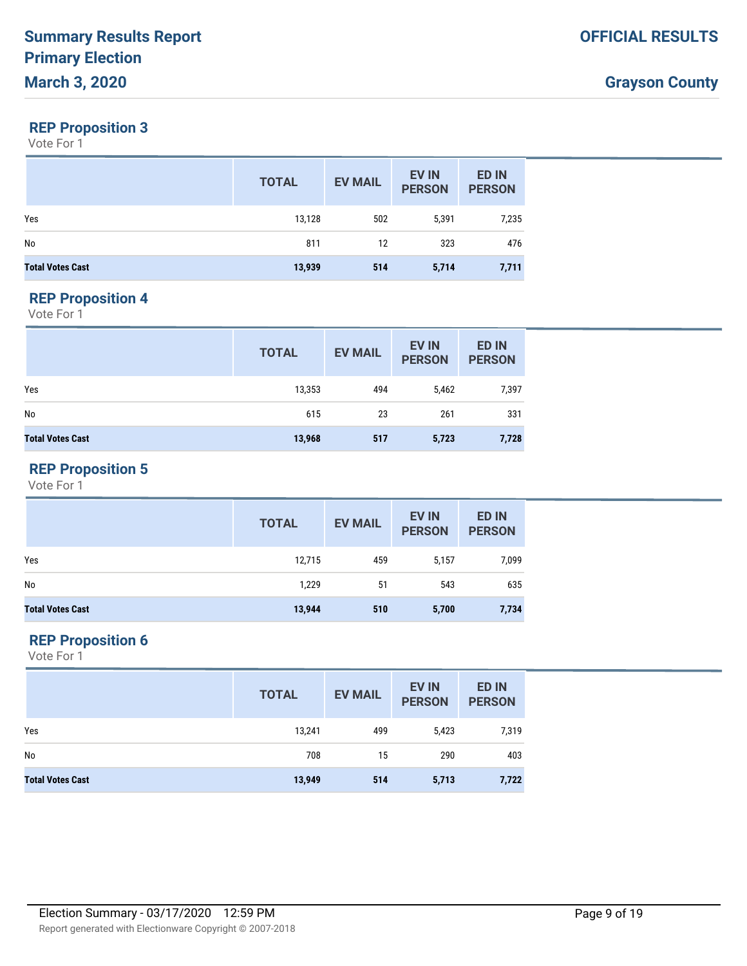#### **REP Proposition 3**

Vote For 1

|                         | <b>TOTAL</b> | <b>EV MAIL</b> | <b>EV IN</b><br><b>PERSON</b> | <b>ED IN</b><br><b>PERSON</b> |
|-------------------------|--------------|----------------|-------------------------------|-------------------------------|
| Yes                     | 13,128       | 502            | 5,391                         | 7,235                         |
| No                      | 811          | 12             | 323                           | 476                           |
| <b>Total Votes Cast</b> | 13,939       | 514            | 5,714                         | 7,711                         |

#### **REP Proposition 4**

Vote For 1

|                         | <b>TOTAL</b> | <b>EV MAIL</b> | <b>EV IN</b><br><b>PERSON</b> | <b>ED IN</b><br><b>PERSON</b> |
|-------------------------|--------------|----------------|-------------------------------|-------------------------------|
| Yes                     | 13,353       | 494            | 5,462                         | 7,397                         |
| No                      | 615          | 23             | 261                           | 331                           |
| <b>Total Votes Cast</b> | 13,968       | 517            | 5,723                         | 7,728                         |

# **REP Proposition 5**

Vote For 1

|                         | <b>TOTAL</b> | <b>EV MAIL</b> | <b>EV IN</b><br><b>PERSON</b> | <b>ED IN</b><br><b>PERSON</b> |
|-------------------------|--------------|----------------|-------------------------------|-------------------------------|
| Yes                     | 12,715       | 459            | 5,157                         | 7,099                         |
| No                      | 1,229        | 51             | 543                           | 635                           |
| <b>Total Votes Cast</b> | 13,944       | 510            | 5,700                         | 7,734                         |

### **REP Proposition 6**

|                         | <b>TOTAL</b> | <b>EV MAIL</b> | <b>EV IN</b><br><b>PERSON</b> | <b>ED IN</b><br><b>PERSON</b> |
|-------------------------|--------------|----------------|-------------------------------|-------------------------------|
| Yes                     | 13,241       | 499            | 5,423                         | 7,319                         |
| No                      | 708          | 15             | 290                           | 403                           |
| <b>Total Votes Cast</b> | 13,949       | 514            | 5,713                         | 7,722                         |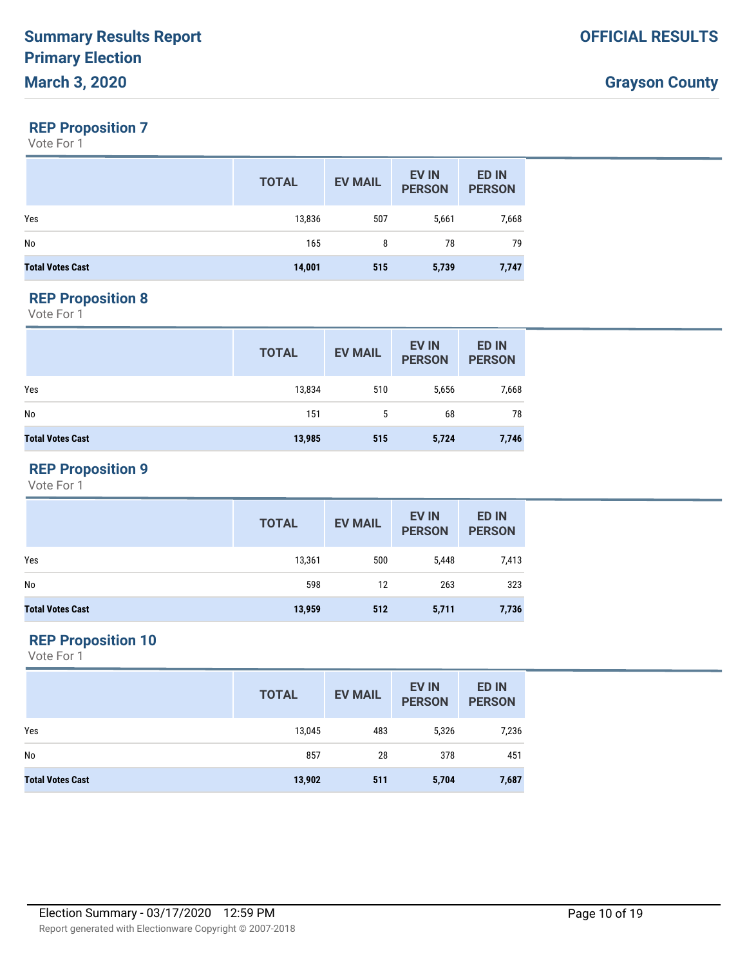### **REP Proposition 7**

Vote For 1

|                         | <b>TOTAL</b> | <b>EV MAIL</b> | <b>EV IN</b><br><b>PERSON</b> | <b>ED IN</b><br><b>PERSON</b> |
|-------------------------|--------------|----------------|-------------------------------|-------------------------------|
| Yes                     | 13,836       | 507            | 5,661                         | 7,668                         |
| No                      | 165          | 8              | 78                            | 79                            |
| <b>Total Votes Cast</b> | 14,001       | 515            | 5,739                         | 7,747                         |

#### **REP Proposition 8**

Vote For 1

|                         | <b>TOTAL</b> | <b>EV MAIL</b> | <b>EV IN</b><br><b>PERSON</b> | <b>ED IN</b><br><b>PERSON</b> |
|-------------------------|--------------|----------------|-------------------------------|-------------------------------|
| Yes                     | 13,834       | 510            | 5,656                         | 7,668                         |
| No                      | 151          | 5              | 68                            | 78                            |
| <b>Total Votes Cast</b> | 13,985       | 515            | 5,724                         | 7,746                         |

### **REP Proposition 9**

Vote For 1

|                         | <b>TOTAL</b> | <b>EV MAIL</b> | <b>EV IN</b><br><b>PERSON</b> | <b>ED IN</b><br><b>PERSON</b> |
|-------------------------|--------------|----------------|-------------------------------|-------------------------------|
| Yes                     | 13,361       | 500            | 5,448                         | 7,413                         |
| No                      | 598          | 12             | 263                           | 323                           |
| <b>Total Votes Cast</b> | 13,959       | 512            | 5,711                         | 7,736                         |

### **REP Proposition 10**

|                         | <b>TOTAL</b> | <b>EV MAIL</b> | <b>EV IN</b><br><b>PERSON</b> | <b>ED IN</b><br><b>PERSON</b> |
|-------------------------|--------------|----------------|-------------------------------|-------------------------------|
| Yes                     | 13,045       | 483            | 5,326                         | 7,236                         |
| No                      | 857          | 28             | 378                           | 451                           |
| <b>Total Votes Cast</b> | 13,902       | 511            | 5,704                         | 7,687                         |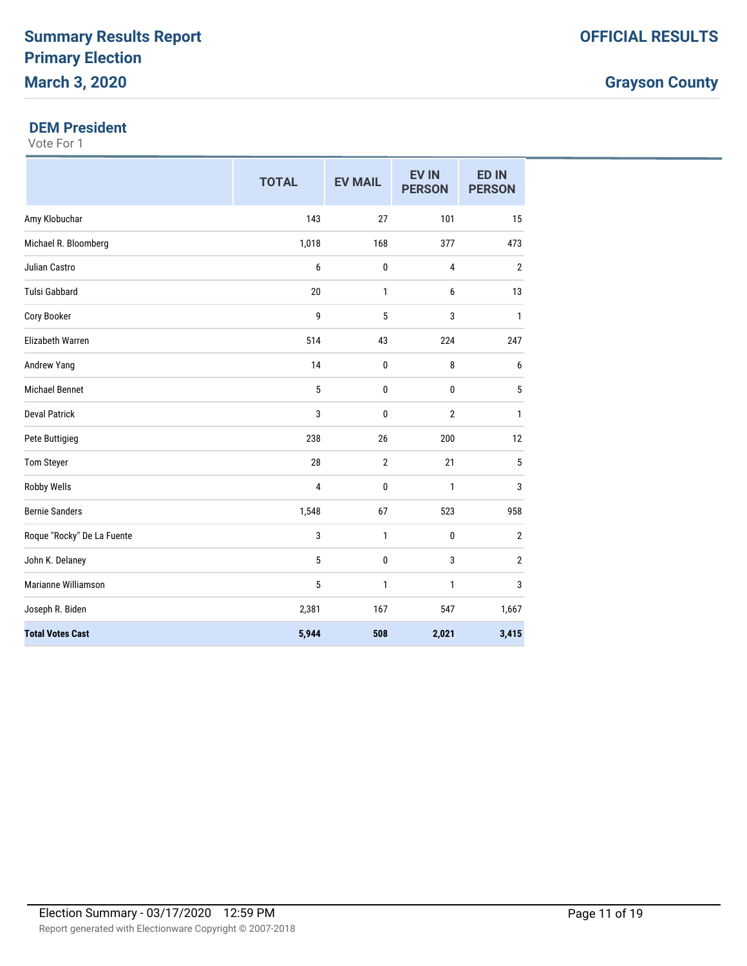# **Grayson County**

#### **DEM President**

|                            | <b>TOTAL</b> | <b>EV MAIL</b> | <b>EV IN</b><br><b>PERSON</b> | <b>ED IN</b><br><b>PERSON</b> |
|----------------------------|--------------|----------------|-------------------------------|-------------------------------|
| Amy Klobuchar              | 143          | 27             | 101                           | 15                            |
| Michael R. Bloomberg       | 1,018        | 168            | 377                           | 473                           |
| <b>Julian Castro</b>       | 6            | 0              | 4                             | $\mathbf{2}$                  |
| <b>Tulsi Gabbard</b>       | 20           | 1              | 6                             | 13                            |
| Cory Booker                | 9            | 5              | 3                             | $\mathbf{1}$                  |
| Elizabeth Warren           | 514          | 43             | 224                           | 247                           |
| Andrew Yang                | 14           | 0              | 8                             | 6                             |
| <b>Michael Bennet</b>      | 5            | 0              | 0                             | 5                             |
| <b>Deval Patrick</b>       | 3            | 0              | 2                             | 1                             |
| Pete Buttigieg             | 238          | 26             | 200                           | 12                            |
| Tom Steyer                 | 28           | 2              | 21                            | 5                             |
| <b>Robby Wells</b>         | 4            | 0              | 1                             | 3                             |
| <b>Bernie Sanders</b>      | 1,548        | 67             | 523                           | 958                           |
| Roque "Rocky" De La Fuente | 3            | 1              | 0                             | $\overline{2}$                |
| John K. Delaney            | 5            | 0              | 3                             | $\sqrt{2}$                    |
| Marianne Williamson        | 5            | 1              | 1                             | 3                             |
| Joseph R. Biden            | 2,381        | 167            | 547                           | 1,667                         |
| <b>Total Votes Cast</b>    | 5,944        | 508            | 2,021                         | 3,415                         |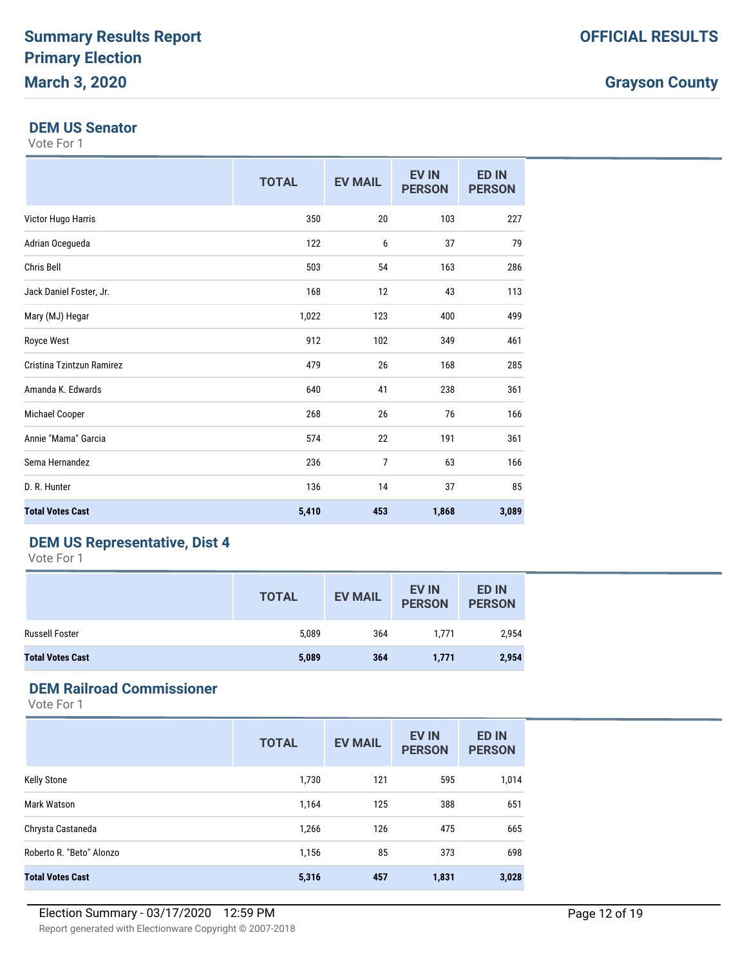### **Grayson County**

#### **DEM US Senator**

Vote For 1

|                           | <b>TOTAL</b> | <b>EV MAIL</b> | <b>EV IN</b><br><b>PERSON</b> | <b>ED IN</b><br><b>PERSON</b> |
|---------------------------|--------------|----------------|-------------------------------|-------------------------------|
| Victor Hugo Harris        | 350          | 20             | 103                           | 227                           |
| Adrian Ocegueda           | 122          | 6              | 37                            | 79                            |
| Chris Bell                | 503          | 54             | 163                           | 286                           |
| Jack Daniel Foster, Jr.   | 168          | 12             | 43                            | 113                           |
| Mary (MJ) Hegar           | 1,022        | 123            | 400                           | 499                           |
| <b>Royce West</b>         | 912          | 102            | 349                           | 461                           |
| Cristina Tzintzun Ramirez | 479          | 26             | 168                           | 285                           |
| Amanda K. Edwards         | 640          | 41             | 238                           | 361                           |
| Michael Cooper            | 268          | 26             | 76                            | 166                           |
| Annie "Mama" Garcia       | 574          | 22             | 191                           | 361                           |
| Sema Hernandez            | 236          | $\overline{7}$ | 63                            | 166                           |
| D. R. Hunter              | 136          | 14             | 37                            | 85                            |
| <b>Total Votes Cast</b>   | 5,410        | 453            | 1,868                         | 3,089                         |

### **DEM US Representative, Dist 4**

Vote For 1

|                         | <b>TOTAL</b> | <b>EV MAIL</b> | <b>EV IN</b><br><b>PERSON</b> | <b>ED IN</b><br><b>PERSON</b> |
|-------------------------|--------------|----------------|-------------------------------|-------------------------------|
| <b>Russell Foster</b>   | 5,089        | 364            | 1.771                         | 2,954                         |
| <b>Total Votes Cast</b> | 5,089        | 364            | 1,771                         | 2,954                         |

# **DEM Railroad Commissioner**

|                          | <b>TOTAL</b> | <b>EV MAIL</b> | <b>EV IN</b><br><b>PERSON</b> | <b>ED IN</b><br><b>PERSON</b> |
|--------------------------|--------------|----------------|-------------------------------|-------------------------------|
| <b>Kelly Stone</b>       | 1,730        | 121            | 595                           | 1,014                         |
| Mark Watson              | 1,164        | 125            | 388                           | 651                           |
| Chrysta Castaneda        | 1,266        | 126            | 475                           | 665                           |
| Roberto R. "Beto" Alonzo | 1,156        | 85             | 373                           | 698                           |
| <b>Total Votes Cast</b>  | 5,316        | 457            | 1,831                         | 3,028                         |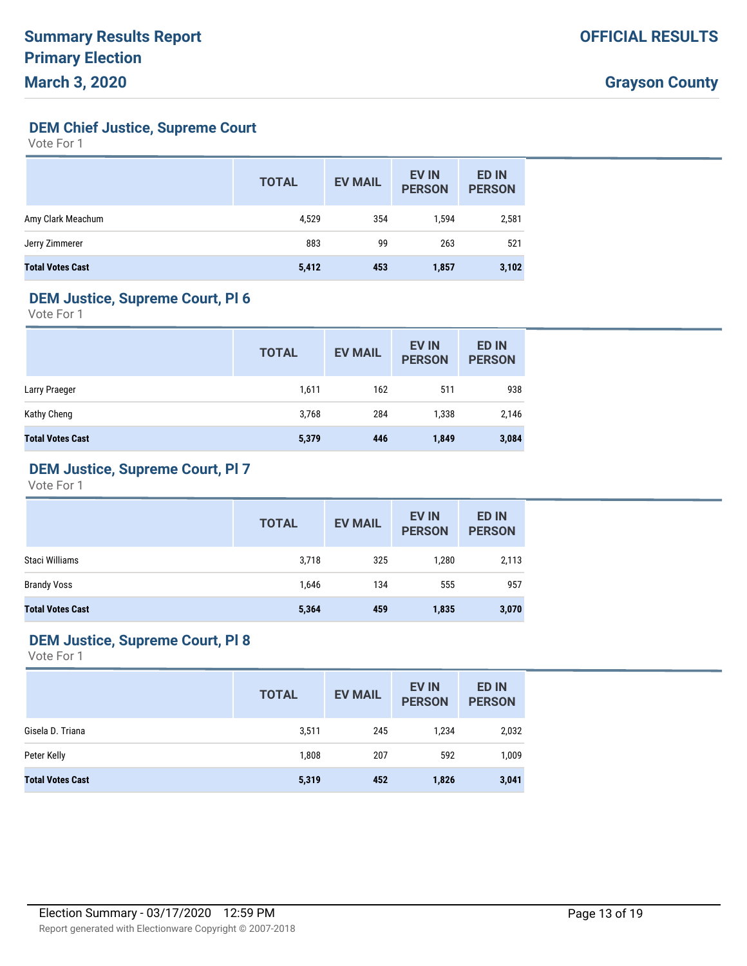**DEM Chief Justice, Supreme Court**

Vote For 1

|                         | <b>TOTAL</b> | <b>EV MAIL</b> | <b>EV IN</b><br><b>PERSON</b> | <b>ED IN</b><br><b>PERSON</b> |
|-------------------------|--------------|----------------|-------------------------------|-------------------------------|
| Amy Clark Meachum       | 4,529        | 354            | 1,594                         | 2,581                         |
| Jerry Zimmerer          | 883          | 99             | 263                           | 521                           |
| <b>Total Votes Cast</b> | 5,412        | 453            | 1,857                         | 3,102                         |

### **DEM Justice, Supreme Court, Pl 6**

Vote For 1

|                         | <b>TOTAL</b> | <b>EV MAIL</b> | <b>EV IN</b><br><b>PERSON</b> | <b>ED IN</b><br><b>PERSON</b> |
|-------------------------|--------------|----------------|-------------------------------|-------------------------------|
| Larry Praeger           | 1,611        | 162            | 511                           | 938                           |
| Kathy Cheng             | 3,768        | 284            | 1,338                         | 2,146                         |
| <b>Total Votes Cast</b> | 5,379        | 446            | 1,849                         | 3,084                         |

#### **DEM Justice, Supreme Court, Pl 7**

Vote For 1

|                         | <b>TOTAL</b> | <b>EV MAIL</b> | EV IN<br><b>PERSON</b> | <b>ED IN</b><br><b>PERSON</b> |
|-------------------------|--------------|----------------|------------------------|-------------------------------|
| Staci Williams          | 3,718        | 325            | 1,280                  | 2,113                         |
| <b>Brandy Voss</b>      | 1,646        | 134            | 555                    | 957                           |
| <b>Total Votes Cast</b> | 5,364        | 459            | 1,835                  | 3,070                         |

### **DEM Justice, Supreme Court, Pl 8**

|                         | <b>TOTAL</b> | <b>EV MAIL</b> | <b>EV IN</b><br><b>PERSON</b> | <b>ED IN</b><br><b>PERSON</b> |
|-------------------------|--------------|----------------|-------------------------------|-------------------------------|
| Gisela D. Triana        | 3,511        | 245            | 1,234                         | 2,032                         |
| Peter Kelly             | 1,808        | 207            | 592                           | 1,009                         |
| <b>Total Votes Cast</b> | 5,319        | 452            | 1,826                         | 3,041                         |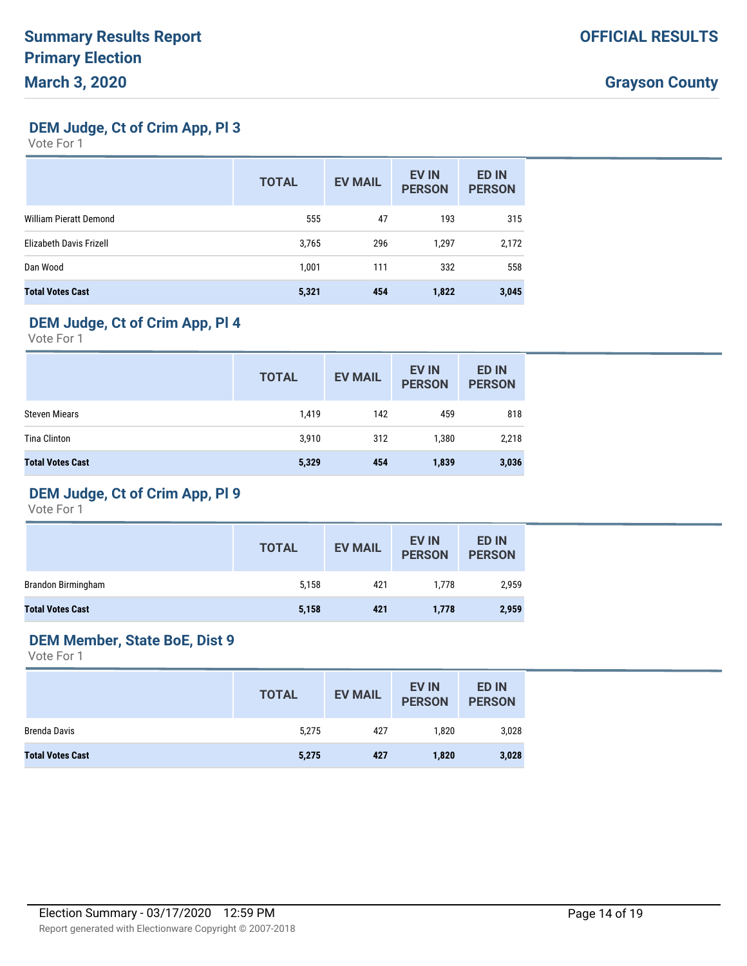**DEM Judge, Ct of Crim App, Pl 3**

Vote For 1

|                               | <b>TOTAL</b> | <b>EV MAIL</b> | <b>EV IN</b><br><b>PERSON</b> | <b>ED IN</b><br><b>PERSON</b> |
|-------------------------------|--------------|----------------|-------------------------------|-------------------------------|
| <b>William Pieratt Demond</b> | 555          | 47             | 193                           | 315                           |
| Elizabeth Davis Frizell       | 3,765        | 296            | 1,297                         | 2,172                         |
| Dan Wood                      | 1,001        | 111            | 332                           | 558                           |
| <b>Total Votes Cast</b>       | 5,321        | 454            | 1,822                         | 3,045                         |

# **DEM Judge, Ct of Crim App, Pl 4**

Vote For 1

|                         | <b>TOTAL</b> | <b>EV MAIL</b> | <b>EV IN</b><br><b>PERSON</b> | <b>ED IN</b><br><b>PERSON</b> |
|-------------------------|--------------|----------------|-------------------------------|-------------------------------|
| <b>Steven Miears</b>    | 1,419        | 142            | 459                           | 818                           |
| <b>Tina Clinton</b>     | 3,910        | 312            | 1,380                         | 2,218                         |
| <b>Total Votes Cast</b> | 5,329        | 454            | 1,839                         | 3,036                         |

# **DEM Judge, Ct of Crim App, Pl 9**

Vote For 1

|                         | <b>TOTAL</b> | <b>EV MAIL</b> | <b>EV IN</b><br><b>PERSON</b> | <b>ED IN</b><br><b>PERSON</b> |
|-------------------------|--------------|----------------|-------------------------------|-------------------------------|
| Brandon Birmingham      | 5,158        | 421            | 1,778                         | 2,959                         |
| <b>Total Votes Cast</b> | 5,158        | 421            | 1,778                         | 2,959                         |

# **DEM Member, State BoE, Dist 9**

|                         | <b>TOTAL</b> | <b>EV MAIL</b> | <b>EV IN</b><br><b>PERSON</b> | <b>ED IN</b><br><b>PERSON</b> |
|-------------------------|--------------|----------------|-------------------------------|-------------------------------|
| Brenda Davis            | 5,275        | 427            | 1.820                         | 3,028                         |
| <b>Total Votes Cast</b> | 5,275        | 427            | 1,820                         | 3,028                         |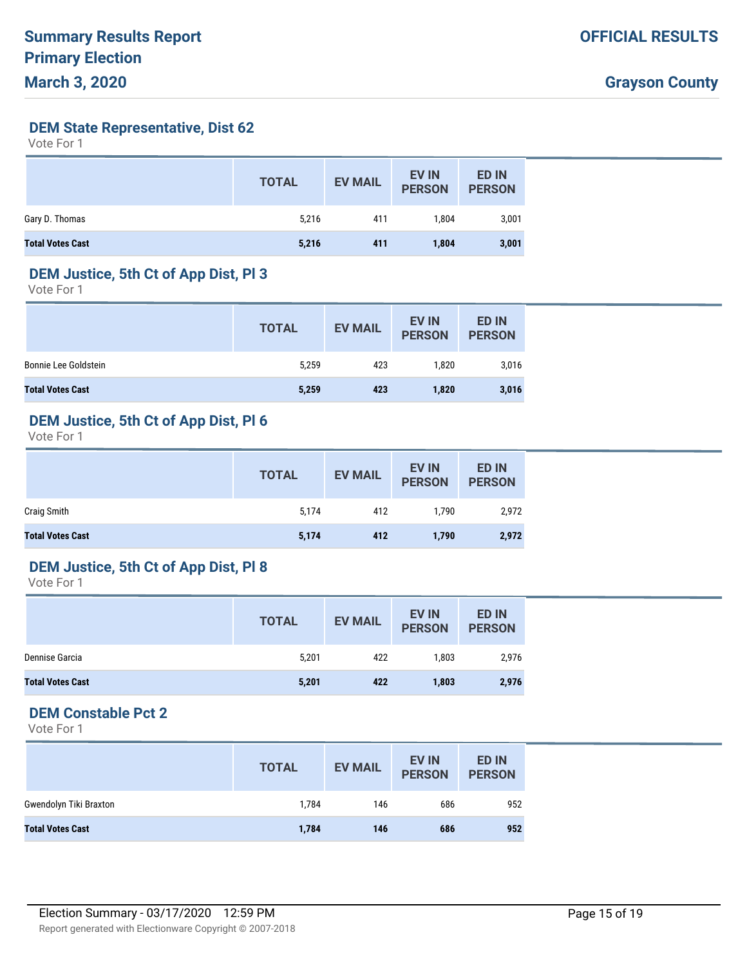**DEM State Representative, Dist 62**

Vote For 1

|                         | <b>TOTAL</b> | <b>EV MAIL</b> | <b>EV IN</b><br><b>PERSON</b> | <b>ED IN</b><br><b>PERSON</b> |
|-------------------------|--------------|----------------|-------------------------------|-------------------------------|
| Gary D. Thomas          | 5,216        | 411            | 1.804                         | 3,001                         |
| <b>Total Votes Cast</b> | 5,216        | 411            | 1,804                         | 3,001                         |

#### **DEM Justice, 5th Ct of App Dist, Pl 3**

Vote For 1

|                         | <b>TOTAL</b> | <b>EV MAIL</b> | <b>EV IN</b><br><b>PERSON</b> | <b>ED IN</b><br><b>PERSON</b> |
|-------------------------|--------------|----------------|-------------------------------|-------------------------------|
| Bonnie Lee Goldstein    | 5,259        | 423            | 1.820                         | 3,016                         |
| <b>Total Votes Cast</b> | 5,259        | 423            | 1,820                         | 3,016                         |

### **DEM Justice, 5th Ct of App Dist, Pl 6**

Vote For 1

|                         | <b>TOTAL</b> | <b>EV MAIL</b> | <b>EV IN</b><br><b>PERSON</b> | <b>ED IN</b><br><b>PERSON</b> |
|-------------------------|--------------|----------------|-------------------------------|-------------------------------|
| Craig Smith             | 5,174        | 412            | 1.790                         | 2,972                         |
| <b>Total Votes Cast</b> | 5,174        | 412            | 1,790                         | 2,972                         |

#### **DEM Justice, 5th Ct of App Dist, Pl 8**

Vote For 1

|                         | <b>TOTAL</b> | <b>EV MAIL</b> | <b>EV IN</b><br><b>PERSON</b> | <b>ED IN</b><br><b>PERSON</b> |
|-------------------------|--------------|----------------|-------------------------------|-------------------------------|
| Dennise Garcia          | 5,201        | 422            | 1,803                         | 2,976                         |
| <b>Total Votes Cast</b> | 5,201        | 422            | 1,803                         | 2,976                         |

### **DEM Constable Pct 2**

|                         | <b>TOTAL</b> | <b>EV MAIL</b> | <b>EV IN</b><br><b>PERSON</b> | <b>ED IN</b><br><b>PERSON</b> |
|-------------------------|--------------|----------------|-------------------------------|-------------------------------|
| Gwendolyn Tiki Braxton  | 1,784        | 146            | 686                           | 952                           |
| <b>Total Votes Cast</b> | 1,784        | 146            | 686                           | 952                           |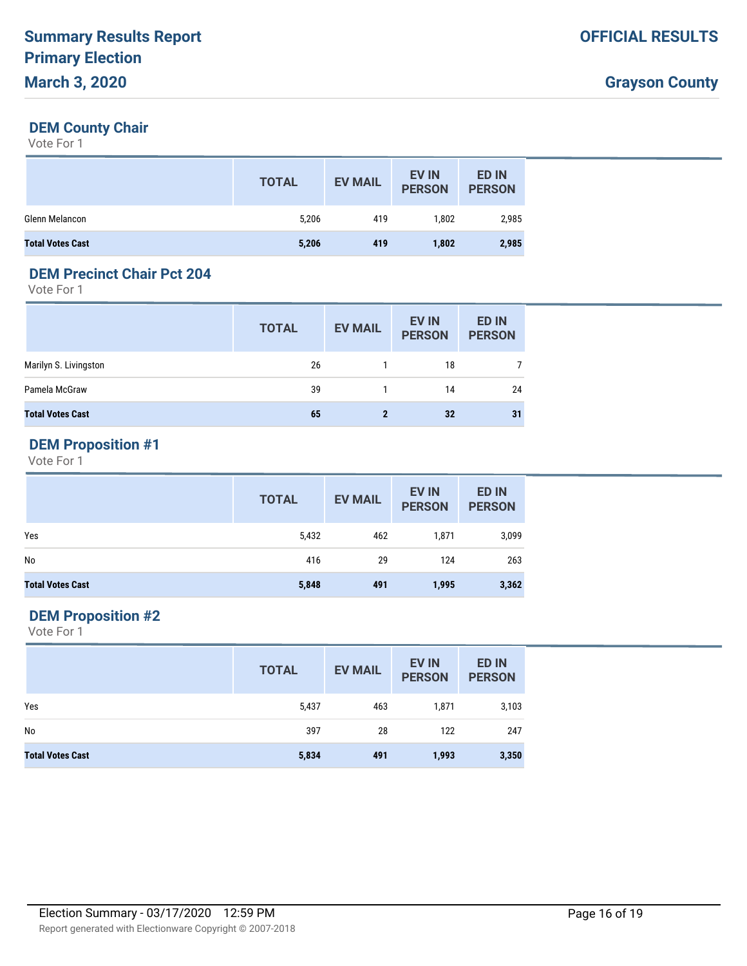#### **DEM County Chair**

Vote For 1

|                         | <b>TOTAL</b> | <b>EV MAIL</b> | <b>EV IN</b><br><b>PERSON</b> | <b>ED IN</b><br><b>PERSON</b> |
|-------------------------|--------------|----------------|-------------------------------|-------------------------------|
| Glenn Melancon          | 5,206        | 419            | 1,802                         | 2,985                         |
| <b>Total Votes Cast</b> | 5,206        | 419            | 1,802                         | 2,985                         |

#### **DEM Precinct Chair Pct 204**

Vote For 1

|                         | <b>TOTAL</b> | <b>EV MAIL</b> | <b>EV IN</b><br><b>PERSON</b> | <b>ED IN</b><br><b>PERSON</b> |
|-------------------------|--------------|----------------|-------------------------------|-------------------------------|
| Marilyn S. Livingston   | 26           |                | 18                            |                               |
| Pamela McGraw           | 39           |                | 14                            | 24                            |
| <b>Total Votes Cast</b> | 65           | 2              | 32                            | 31                            |

# **DEM Proposition #1**

Vote For 1

|                         | <b>TOTAL</b> | <b>EV MAIL</b> | <b>EV IN</b><br><b>PERSON</b> | <b>ED IN</b><br><b>PERSON</b> |
|-------------------------|--------------|----------------|-------------------------------|-------------------------------|
| Yes                     | 5,432        | 462            | 1,871                         | 3,099                         |
| No                      | 416          | 29             | 124                           | 263                           |
| <b>Total Votes Cast</b> | 5,848        | 491            | 1,995                         | 3,362                         |

### **DEM Proposition #2**

|                         | <b>TOTAL</b> | <b>EV MAIL</b> | <b>EV IN</b><br><b>PERSON</b> | <b>ED IN</b><br><b>PERSON</b> |
|-------------------------|--------------|----------------|-------------------------------|-------------------------------|
| Yes                     | 5,437        | 463            | 1,871                         | 3,103                         |
| No                      | 397          | 28             | 122                           | 247                           |
| <b>Total Votes Cast</b> | 5,834        | 491            | 1,993                         | 3,350                         |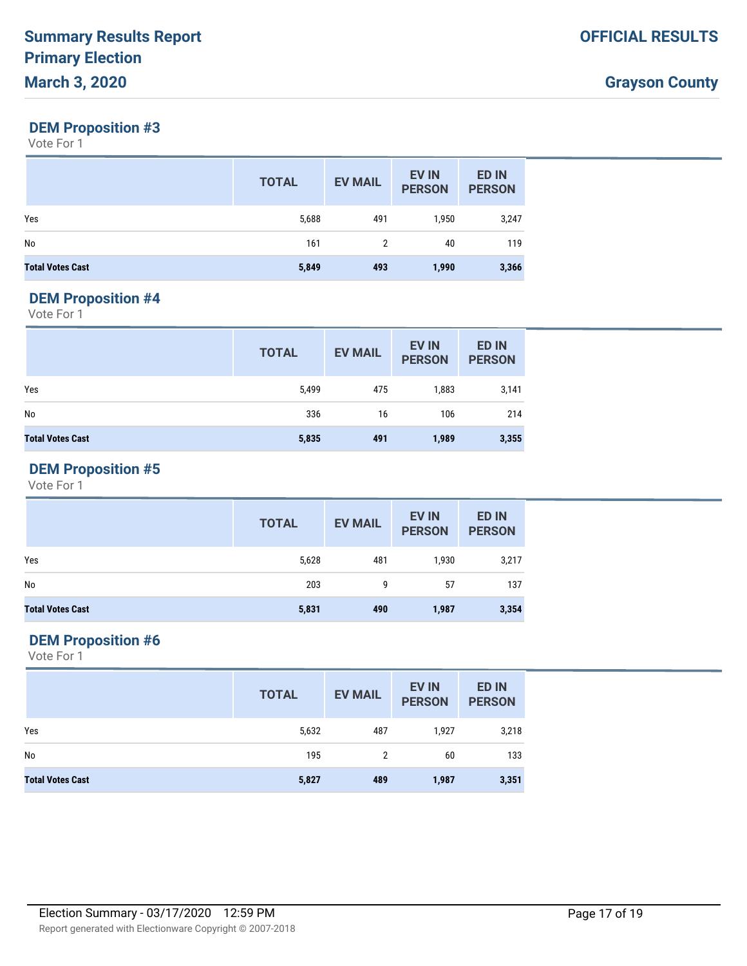#### **DEM Proposition #3**

Vote For 1

|                         | <b>TOTAL</b> | <b>EV MAIL</b> | <b>EV IN</b><br><b>PERSON</b> | <b>ED IN</b><br><b>PERSON</b> |
|-------------------------|--------------|----------------|-------------------------------|-------------------------------|
| Yes                     | 5,688        | 491            | 1,950                         | 3,247                         |
| No                      | 161          | 2              | 40                            | 119                           |
| <b>Total Votes Cast</b> | 5,849        | 493            | 1,990                         | 3,366                         |

#### **DEM Proposition #4**

Vote For 1

|                         | <b>TOTAL</b> | <b>EV MAIL</b> | <b>EV IN</b><br><b>PERSON</b> | <b>ED IN</b><br><b>PERSON</b> |
|-------------------------|--------------|----------------|-------------------------------|-------------------------------|
| Yes                     | 5,499        | 475            | 1,883                         | 3,141                         |
| No                      | 336          | 16             | 106                           | 214                           |
| <b>Total Votes Cast</b> | 5,835        | 491            | 1,989                         | 3,355                         |

# **DEM Proposition #5**

Vote For 1

|                         | <b>TOTAL</b> | <b>EV MAIL</b> | <b>EV IN</b><br><b>PERSON</b> | <b>ED IN</b><br><b>PERSON</b> |
|-------------------------|--------------|----------------|-------------------------------|-------------------------------|
| Yes                     | 5,628        | 481            | 1,930                         | 3,217                         |
| No                      | 203          | 9              | 57                            | 137                           |
| <b>Total Votes Cast</b> | 5,831        | 490            | 1,987                         | 3,354                         |

### **DEM Proposition #6**

|                         | <b>TOTAL</b> | <b>EV MAIL</b> | <b>EV IN</b><br><b>PERSON</b> | <b>ED IN</b><br><b>PERSON</b> |
|-------------------------|--------------|----------------|-------------------------------|-------------------------------|
| Yes                     | 5,632        | 487            | 1,927                         | 3,218                         |
| No                      | 195          | 2              | 60                            | 133                           |
| <b>Total Votes Cast</b> | 5,827        | 489            | 1,987                         | 3,351                         |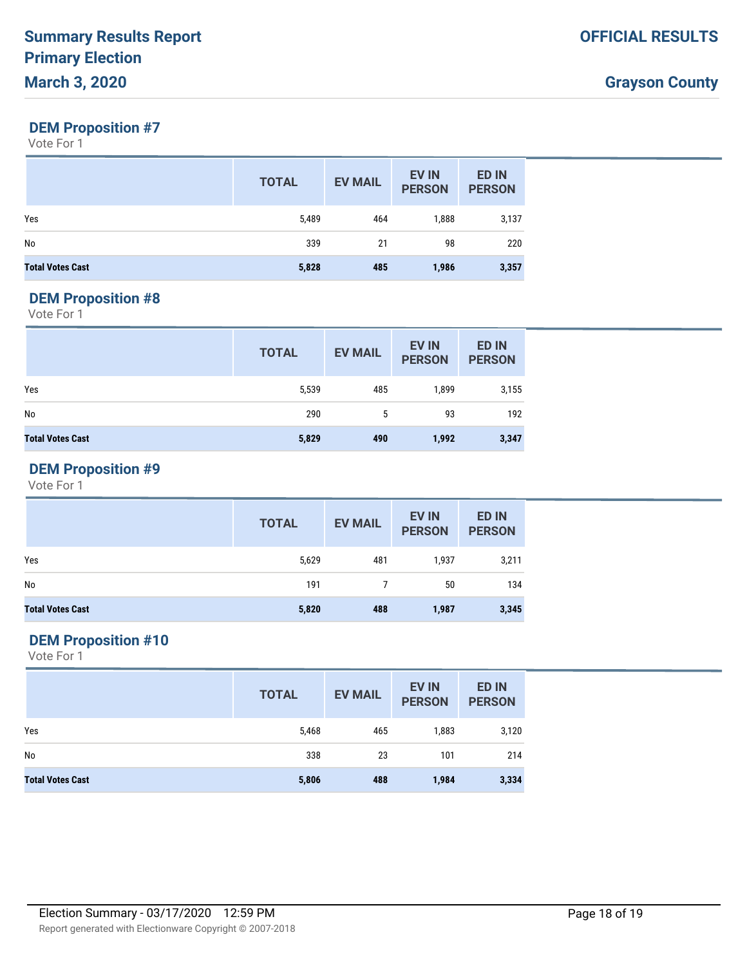### **DEM Proposition #7**

Vote For 1

|                         | <b>TOTAL</b> | <b>EV MAIL</b> | <b>EV IN</b><br><b>PERSON</b> | <b>ED IN</b><br><b>PERSON</b> |
|-------------------------|--------------|----------------|-------------------------------|-------------------------------|
| Yes                     | 5,489        | 464            | 1,888                         | 3,137                         |
| No                      | 339          | 21             | 98                            | 220                           |
| <b>Total Votes Cast</b> | 5,828        | 485            | 1,986                         | 3,357                         |

#### **DEM Proposition #8**

Vote For 1

|                         | <b>TOTAL</b> | <b>EV MAIL</b> | <b>EV IN</b><br><b>PERSON</b> | <b>ED IN</b><br><b>PERSON</b> |
|-------------------------|--------------|----------------|-------------------------------|-------------------------------|
| Yes                     | 5,539        | 485            | 1,899                         | 3,155                         |
| No                      | 290          | 5              | 93                            | 192                           |
| <b>Total Votes Cast</b> | 5,829        | 490            | 1,992                         | 3,347                         |

### **DEM Proposition #9**

Vote For 1

|                         | <b>TOTAL</b> | <b>EV MAIL</b> | <b>EV IN</b><br><b>PERSON</b> | ED IN<br><b>PERSON</b> |
|-------------------------|--------------|----------------|-------------------------------|------------------------|
| Yes                     | 5,629        | 481            | 1,937                         | 3,211                  |
| No                      | 191          |                | 50                            | 134                    |
| <b>Total Votes Cast</b> | 5,820        | 488            | 1,987                         | 3,345                  |

### **DEM Proposition #10**

|                         | <b>TOTAL</b> | <b>EV MAIL</b> | <b>EV IN</b><br><b>PERSON</b> | <b>ED IN</b><br><b>PERSON</b> |
|-------------------------|--------------|----------------|-------------------------------|-------------------------------|
| Yes                     | 5,468        | 465            | 1,883                         | 3,120                         |
| No                      | 338          | 23             | 101                           | 214                           |
| <b>Total Votes Cast</b> | 5,806        | 488            | 1,984                         | 3,334                         |